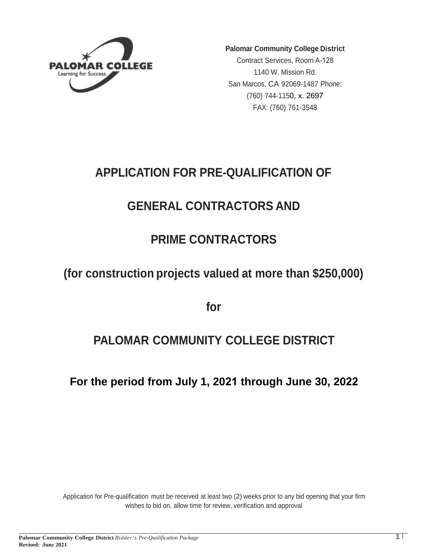

**Palomar Community College District**

Contract Services, Room A-128 1140 W. Mission Rd. San Marcos, CA 92069-1487 Phone: (760) 744-1150, x. 2697 FAX: (760) 761-3548

## **APPLICATION FOR PRE-QUALIFICATION OF**

## **GENERAL CONTRACTORS AND**

## **PRIME CONTRACTORS**

## **(for construction projects valued at more than \$250,000)**

**for**

## **PALOMAR COMMUNITY COLLEGE DISTRICT**

**For the period from July 1, 2021 through June 30, 2022**

Application for Pre-qualification must be received at least two (2) weeks prior to any bid opening that your firm wishes to bid on, allow time for review, verification and approval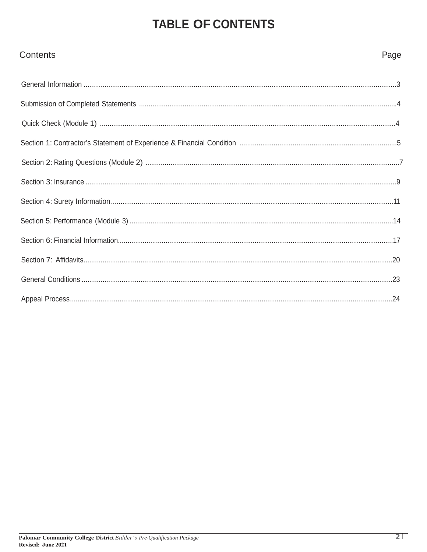# **TABLE OF CONTENTS**

| <b>Contents</b> | Page |
|-----------------|------|
|                 |      |
|                 |      |
|                 |      |
|                 |      |
|                 |      |
|                 |      |
|                 |      |
|                 |      |
|                 |      |
|                 |      |
|                 |      |
|                 |      |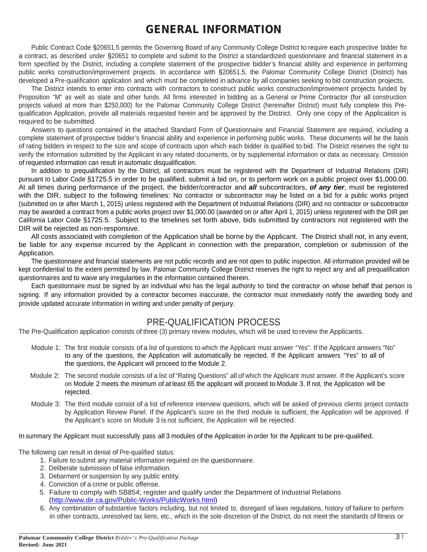### GENERAL INFORMATION

Public Contract Code §20651.5 permits the Governing Board of any Community College District to require each prospective bidder for a contract, as described under §20651 to complete and submit to the District a standardized questionnaire and financial statement in a form specified by the District, including a complete statement of the prospective bidder's financial ability and experience in performing public works construction/improvement projects. In accordance with §20651.5, the Palomar Community College District (District) has developed a Pre-qualification application and which must be completed in advance by all companies seeking to bid construction projects.

The District intends to enter into contracts with contractors to construct public works construction/improvement projects funded by Proposition "M" as well as state and other funds. All firms interested in bidding as a General or Prime Contractor (for all construction projects valued at more than \$250,000) for the Palomar Community College District (hereinafter District) must fully complete this Prequalification Application, provide all materials requested herein and be approved by the District. Only one copy of the Application is required to be submitted.

Answers to questions contained in the attached Standard Form of Questionnaire and Financial Statement are required, including a complete statement of prospective bidder's financial ability and experience in performing public works. These documents will be the basis of rating bidders in respect to the size and scope of contracts upon which each bidder is qualified to bid. The District reserves the right to verify the information submitted by the Applicant in any related documents, or by supplemental information or data as necessary. Omission of requested information can result in automatic disqualification.

In addition to prequalification by the District, all contractors must be registered with the Department of Industrial Relations (DIR) pursuant to Labor Code §1725.5 in order to be qualified, submit a bid on, or to perform work on a public project over \$1,000.00. At all times during performance of the project, the bidder/contractor and *all* subcontractors, *of any tier*, must be registered with the DIR, subject to the following timelines: No contractor or subcontractor may be listed on a bid for a public works project (submitted on or after March 1, 2015) unless registered with the Department of Industrial Relations (DIR) and no contractor or subcontractor may be awarded a contract from a public works project over \$1,000.00 (awarded on or after April 1, 2015) unless registered with the DIR per California Labor Code §1725.5. Subject to the timelines set forth above, bids submitted by contractors not registered with the DIR will be rejected as non-responsive.

All costs associated with completion of the Application shall be borne by the Applicant. The District shall not, in any event, be liable for any expense incurred by the Applicant in connection with the preparation, completion or submission of the Application.

The questionnaire and financial statements are not public records and are not open to public inspection. All information provided will be kept confidential to the extent permitted by law. Palomar Community College District reserves the right to reject any and all prequalification questionnaires and to waive any irregularities in the information contained therein.

Each questionnaire must be signed by an individual who has the legal authority to bind the contractor on whose behalf that person is signing. If any information provided by a contractor becomes inaccurate, the contractor must immediately notify the awarding body and provide updated accurate information in writing and under penalty of perjury.

### PRE-QUALIFICATION PROCESS

The Pre-Qualification application consists of three (3) primary review modules, which will be used to review the Applicants.

- Module 1: The first module consists of a list of questions to which the Applicant must answer "Yes". If the Applicant answers "No" to any of the questions, the Application will automatically be rejected. If the Applicant answers "Yes" to all of the questions, the Applicant will proceed to the Module 2.
- Module 2: The second module consists of a list of "Rating Questions" all of which the Applicant must answer. If the Applicant's score on Module 2 meets the minimum of at least 65 the applicant will proceed to Module 3. If not, the Application will be rejected.
- Module 3: The third module consist of a list of reference interview questions, which will be asked of previous clients project contacts by Application Review Panel. If the Applicant's score on the third module is sufficient, the Application will be approved. If the Applicant's score on Module 3 is not sufficient, the Application will be rejected.

In summary the Applicant must successfully pass all 3 modules of the Application in order for the Applicant to be pre-qualified.

The following can result in denial of Pre-qualified status:

- 1. Failure to submit any material information required on the questionnaire.
- 2. Deliberate submission of false information.
- 3. Debarment or suspension by any public entity.
- 4. Conviction of a crime or public offense.
- 5. Failure to comply with SB854; register and qualify under the Department of Industrial Relations [\(http://www.dir.ca.gov/Public-Works/PublicWorks.html\)](http://www.dir.ca.gov/Public-Works/PublicWorks.html)
- 6. Any combination of substantive factors including, but not limited to, disregard of laws regulations, history of failure to perform in other contracts, unresolved tax liens, etc., which in the sole discretion of the District, do not meet the standards of fitness or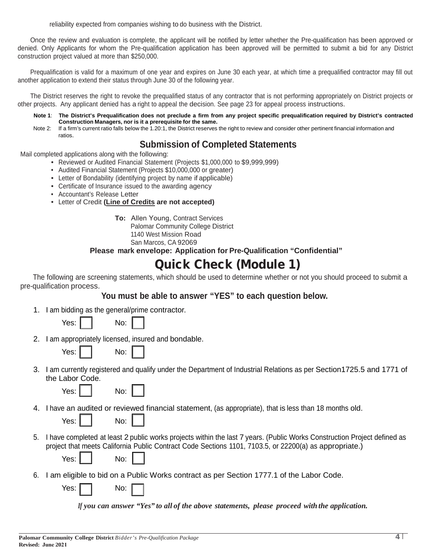reliability expected from companies wishing to do business with the District.

Once the review and evaluation is complete, the applicant will be notified by letter whether the Pre-qualification has been approved or denied. Only Applicants for whom the Pre-qualification application has been approved will be permitted to submit a bid for any District construction project valued at more than \$250,000.

Prequalification is valid for a maximum of one year and expires on June 30 each year, at which time a prequalified contractor may fill out another application to extend their status through June 30 of the following year.

The District reserves the right to revoke the prequalified status of any contractor that is not performing appropriately on District projects or other projects. Any applicant denied has a right to appeal the decision. See page 23 for appeal process instructions.

- **Note 1**: **The District's Prequalification does not preclude a firm from any project specific prequalification required by District's contracted Construction Managers, nor is it a prerequisite for the same.**
- Note 2: If a firm's current ratio falls below the 1.20:1, the District reserves the right to review and consider other pertinent financial information and ratios.

### **Submission of Completed Statements**

Mail completed applications along with the following:

- Reviewed or Audited Financial Statement (Projects \$1,000,000 to \$9,999,999)
- Audited Financial Statement (Projects \$10,000,000 or greater)
- Letter of Bondability (identifying project by name if applicable)
- Certificate of Insurance issued to the awarding agency
- Accountant's Release Letter
- Letter of Credit **(Line of Credits are not accepted)**

**To:** Allen Young, Contract Services Palomar Community College District 1140 West Mission Road San Marcos, CA 92069

**Please mark envelope: Application for Pre-Qualification "Confidential"**

## Quick Check (Module 1)

The following are screening statements, which should be used to determine whether or not you should proceed to submit a pre-qualification process.

**You must be able to answer "YES" to each question below.**

1. I am bidding as the general/prime contractor.

| Yes: |  | No: |  |
|------|--|-----|--|
|------|--|-----|--|

2. I am appropriately licensed, insured and bondable.

| res: |  | No: |
|------|--|-----|
|------|--|-----|

3. I am currently registered and qualify under the Department of Industrial Relations as per Section1725.5 and 1771 of the Labor Code.

| Yes: |  |  | No: |
|------|--|--|-----|
|------|--|--|-----|

4. I have an audited or reviewed financial statement, (as appropriate), that is less than 18 months old.

|  | Nο<br>٠<br>- |
|--|--------------|
|--|--------------|

5. I have completed at least 2 public works projects within the last 7 years. (Public Works Construction Project defined as project that meets California Public Contract Code Sections 1101, 7103.5, or 22200(a) as appropriate.)

| No: |
|-----|
|-----|

6. I am eligible to bid on a Public Works contract as per Section 1777.1 of the Labor Code.

Yes: No:

Yes:

Yes:

*If you can answer "Yes" to all of the above statements, please proceed with the application.*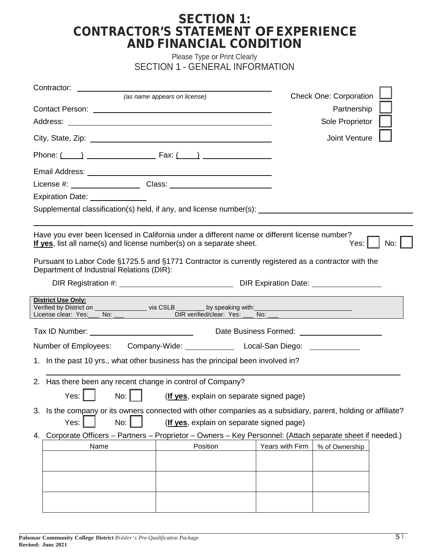### SECTION 1: CONTRACTOR'S STATEMENT OF EXPERIENCE AND FINANCIAL CONDITION

Please Type or Print Clearly SECTION 1 - GENERAL INFORMATION

| Contractor:<br><u> 1989 - John Barnett, fransk politiker (d. 1989)</u>                                                                                                                                            |                                                                  |                 |                                                                                  |  |
|-------------------------------------------------------------------------------------------------------------------------------------------------------------------------------------------------------------------|------------------------------------------------------------------|-----------------|----------------------------------------------------------------------------------|--|
| City, State, Zip: 2008. Experience of the City, State, Zip:                                                                                                                                                       | (as name appears on license)                                     |                 | <b>Check One: Corporation</b><br>Partnership<br>Sole Proprietor<br>Joint Venture |  |
|                                                                                                                                                                                                                   |                                                                  |                 |                                                                                  |  |
| Supplemental classification(s) held, if any, and license number(s): _______________________________                                                                                                               |                                                                  |                 |                                                                                  |  |
| Have you ever been licensed in California under a different name or different license number?<br>If yes, list all name(s) and license number(s) on a separate sheet.                                              |                                                                  |                 | No:<br>Yes: I                                                                    |  |
| Pursuant to Labor Code §1725.5 and §1771 Contractor is currently registered as a contractor with the<br>Department of Industrial Relations (DIR):                                                                 |                                                                  |                 |                                                                                  |  |
|                                                                                                                                                                                                                   |                                                                  |                 |                                                                                  |  |
| <b>District Use Only:</b><br>Verified by District on _______________ via CSLB _______ by speaking with:__________________________<br>License clear: Yes:____ No: ___         DIR verified/clear: Yes: ___ No: ___ |                                                                  |                 |                                                                                  |  |
|                                                                                                                                                                                                                   |                                                                  |                 | Date Business Formed: ________________________                                   |  |
| Number of Employees: Company-Wide: Local-San Diego: Local-San Diego:                                                                                                                                              |                                                                  |                 |                                                                                  |  |
| 1. In the past 10 yrs., what other business has the principal been involved in?                                                                                                                                   |                                                                  |                 |                                                                                  |  |
| 2. Has there been any recent change in control of Company?                                                                                                                                                        | Yes: $\Box$ No: $\Box$ (If yes, explain on separate signed page) |                 |                                                                                  |  |
| 3. Is the company or its owners connected with other companies as a subsidiary, parent, holding or affiliate?<br>No:<br>Yes:                                                                                      | (If yes, explain on separate signed page)                        |                 |                                                                                  |  |
| 4. Corporate Officers - Partners - Proprietor - Owners - Key Personnel: (Attach separate sheet if needed.)<br>Name                                                                                                | Position                                                         | Years with Firm | % of Ownership                                                                   |  |
|                                                                                                                                                                                                                   |                                                                  |                 |                                                                                  |  |
|                                                                                                                                                                                                                   |                                                                  |                 |                                                                                  |  |
|                                                                                                                                                                                                                   |                                                                  |                 |                                                                                  |  |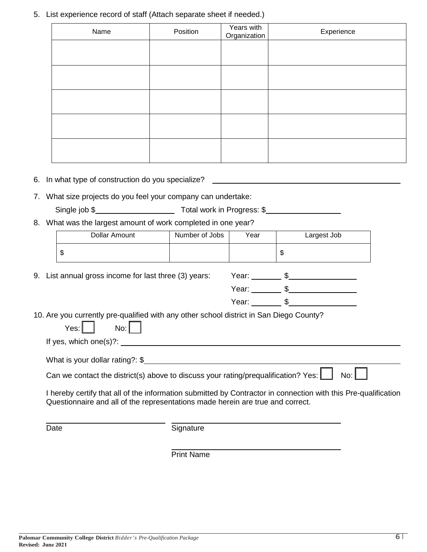5. List experience record of staff (Attach separate sheet if needed.)

| Name | Position | Years with<br>Organization | Experience |
|------|----------|----------------------------|------------|
|      |          |                            |            |
|      |          |                            |            |
|      |          |                            |            |
|      |          |                            |            |
|      |          |                            |            |
|      |          |                            |            |
|      |          |                            |            |

6. In what type of construction do you specialize?

7. What size projects do you feel your company can undertake:

| Single job \$<br>Total work in Progress: \$ |  |
|---------------------------------------------|--|
|---------------------------------------------|--|

8. What was the largest amount of work completed in one year?

|      | Dollar Amount                                                                                                                                                                              | Number of Jobs | Year | Largest Job                                                                                                    |
|------|--------------------------------------------------------------------------------------------------------------------------------------------------------------------------------------------|----------------|------|----------------------------------------------------------------------------------------------------------------|
|      | \$                                                                                                                                                                                         |                |      | \$                                                                                                             |
|      | 9. List annual gross income for last three (3) years:                                                                                                                                      |                |      |                                                                                                                |
|      |                                                                                                                                                                                            |                |      |                                                                                                                |
|      |                                                                                                                                                                                            |                |      |                                                                                                                |
|      | 10. Are you currently pre-qualified with any other school district in San Diego County?<br>No:<br>$Yes: \Box$<br>If yes, which one(s)?: $\qquad \qquad$<br>What is your dollar rating?: \$ |                |      |                                                                                                                |
|      | Can we contact the district(s) above to discuss your rating/prequalification? Yes: $\Box$                                                                                                  |                |      | No: I                                                                                                          |
|      | Questionnaire and all of the representations made herein are true and correct.                                                                                                             |                |      | I hereby certify that all of the information submitted by Contractor in connection with this Pre-qualification |
| Date |                                                                                                                                                                                            | Signature      |      |                                                                                                                |

Print Name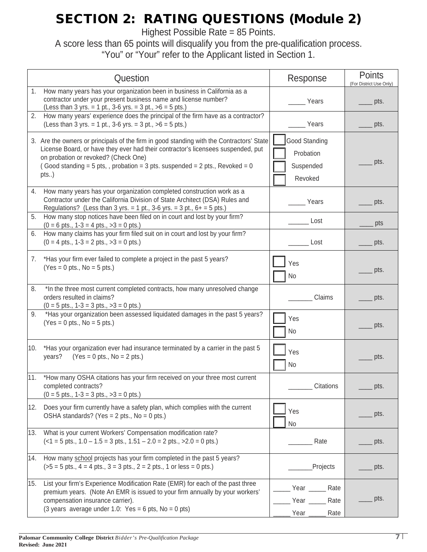# SECTION 2: RATING QUESTIONS (Module 2)

Highest Possible Rate = 85 Points.

A score less than 65 points will disqualify you from the pre-qualification process. "You" or "Your" refer to the Applicant listed in Section 1.

| Question                                                                                                                                                                                                                                                                                                             | Response                                           | <b>Points</b><br>(For District Use Only) |
|----------------------------------------------------------------------------------------------------------------------------------------------------------------------------------------------------------------------------------------------------------------------------------------------------------------------|----------------------------------------------------|------------------------------------------|
| 1. How many years has your organization been in business in California as a<br>contractor under your present business name and license number?<br>(Less than 3 yrs. = 1 pt., 3-6 yrs. = 3 pt., $>6$ = 5 pts.)                                                                                                        | Years                                              | pts.                                     |
| How many years' experience does the principal of the firm have as a contractor?<br>2.<br>(Less than 3 yrs. = 1 pt., 3-6 yrs. = 3 pt., $>6$ = 5 pts.)                                                                                                                                                                 | Years                                              | pts.                                     |
| 3. Are the owners or principals of the firm in good standing with the Contractors' State<br>License Board, or have they ever had their contractor's licensees suspended, put<br>on probation or revoked? (Check One)<br>(Good standing = $5$ pts, , probation = $3$ pts. suspended = $2$ pts., Revoked = $0$<br>pts) | Good Standing<br>Probation<br>Suspended<br>Revoked | pts.                                     |
| 4.<br>How many years has your organization completed construction work as a<br>Contractor under the California Division of State Architect (DSA) Rules and<br>Regulations? (Less than 3 yrs. = 1 pt., 3-6 yrs. = 3 pt., $6+$ = 5 pts.)                                                                               | Years                                              | pts.                                     |
| How many stop notices have been filed on in court and lost by your firm?<br>5.<br>$(0 = 6 \text{ pts.}, 1-3 = 4 \text{ pts.}, >3 = 0 \text{ pts.})$                                                                                                                                                                  | Lost                                               | pts                                      |
| How many claims has your firm filed suit on in court and lost by your firm?<br>6.<br>$(0 = 4 \text{ pts.}, 1-3 = 2 \text{ pts.}, >3 = 0 \text{ pts.})$                                                                                                                                                               | Lost                                               | pts.                                     |
| *Has your firm ever failed to complete a project in the past 5 years?<br>7.<br>$(Yes = 0 pts., No = 5 pts.)$                                                                                                                                                                                                         | Yes<br>No                                          | pts.                                     |
| *In the three most current completed contracts, how many unresolved change<br>8.<br>orders resulted in claims?<br>$(0 = 5 \text{ pts.}, 1 - 3 = 3 \text{ pts.}, >3 = 0 \text{ pts.})$                                                                                                                                | Claims                                             | pts.                                     |
| *Has your organization been assessed liquidated damages in the past 5 years?<br>9.<br>$(Yes = 0 pts., No = 5 pts.)$                                                                                                                                                                                                  | Yes<br>No                                          | pts.                                     |
| *Has your organization ever had insurance terminated by a carrier in the past 5<br>10.<br>years?<br>$(Yes = 0 pts., No = 2 pts.)$                                                                                                                                                                                    | Yes<br>No                                          | pts.                                     |
| 11.<br>*How many OSHA citations has your firm received on your three most current<br>completed contracts?<br>$(0 = 5 \text{ pts.}, 1 - 3 = 3 \text{ pts.}, >3 = 0 \text{ pts.})$                                                                                                                                     | Citations                                          | pts.                                     |
| Does your firm currently have a safety plan, which complies with the current<br>12.<br>OSHA standards? (Yes = $2$ pts., No = $0$ pts.)                                                                                                                                                                               | Yes<br>No                                          | pts.                                     |
| 13. What is your current Workers' Compensation modification rate?<br>$(<1 = 5$ pts., $1.0 - 1.5 = 3$ pts., $1.51 - 2.0 = 2$ pts., $>2.0 = 0$ pts.)                                                                                                                                                                   | Rate                                               | pts.                                     |
| 14. How many school projects has your firm completed in the past 5 years?<br>$(55 = 5 \text{ pts.}, 4 = 4 \text{ pts.}, 3 = 3 \text{ pts.}, 2 = 2 \text{ pts.}, 1 \text{ or less } = 0 \text{ pts.})$                                                                                                                | Projects                                           | pts.                                     |
| List your firm's Experience Modification Rate (EMR) for each of the past three<br>15.<br>premium years. (Note An EMR is issued to your firm annually by your workers'<br>compensation insurance carrier).<br>(3 years average under 1.0: Yes = 6 pts, $No = 0$ pts)                                                  | Rate<br>Year _<br>Year<br>Rate<br>Year<br>Rate     | pts.                                     |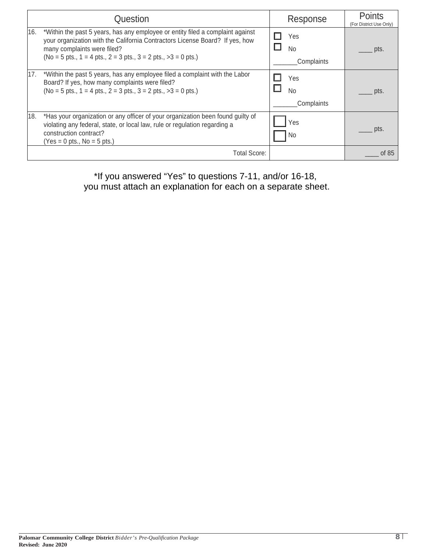|     | Question                                                                                                                                                                                                                                                          | Response                       | <b>Points</b><br>(For District Use Only) |
|-----|-------------------------------------------------------------------------------------------------------------------------------------------------------------------------------------------------------------------------------------------------------------------|--------------------------------|------------------------------------------|
| 16. | *Within the past 5 years, has any employee or entity filed a complaint against<br>your organization with the California Contractors License Board? If yes, how<br>many complaints were filed?<br>$(No = 5 pts., 1 = 4 pts., 2 = 3 pts., 3 = 2 pts., >3 = 0 pts.)$ | Yes<br><b>No</b><br>Complaints | pts.                                     |
| 17. | *Within the past 5 years, has any employee filed a complaint with the Labor<br>Board? If yes, how many complaints were filed?<br>$(No = 5 pts., 1 = 4 pts., 2 = 3 pts., 3 = 2 pts., >3 = 0 pts.)$                                                                 | Yes<br><b>No</b><br>Complaints | pts.                                     |
| 18. | *Has your organization or any officer of your organization been found guilty of<br>violating any federal, state, or local law, rule or regulation regarding a<br>construction contract?<br>$(Yes = 0 pts., No = 5 pts.)$                                          | ′es<br>No.                     | pts.                                     |
|     | Total Score:                                                                                                                                                                                                                                                      |                                | of 85                                    |

\*If you answered "Yes" to questions 7-11, and/or 16-18, you must attach an explanation for each on a separate sheet.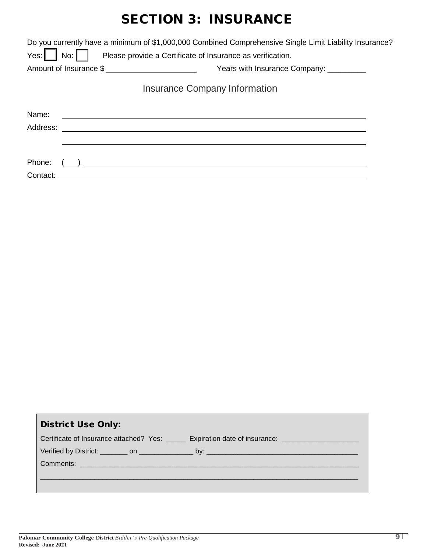## SECTION 3: INSURANCE

|                               | Do you currently have a minimum of \$1,000,000 Combined Comprehensive Single Limit Liability Insurance? |  |  |  |  |  |
|-------------------------------|---------------------------------------------------------------------------------------------------------|--|--|--|--|--|
| Yes: $\vert \vert$<br>$N$ o:  | Please provide a Certificate of Insurance as verification.                                              |  |  |  |  |  |
| Amount of Insurance \$        | Years with Insurance Company: _________                                                                 |  |  |  |  |  |
| Insurance Company Information |                                                                                                         |  |  |  |  |  |
| Name:                         |                                                                                                         |  |  |  |  |  |
|                               |                                                                                                         |  |  |  |  |  |
| Phone:                        |                                                                                                         |  |  |  |  |  |
| Contact:                      |                                                                                                         |  |  |  |  |  |

| <b>District Use Only:</b>                                                                           |
|-----------------------------------------------------------------------------------------------------|
| Certificate of Insurance attached? Yes: _____ Expiration date of insurance: _______________________ |
|                                                                                                     |
|                                                                                                     |
|                                                                                                     |
|                                                                                                     |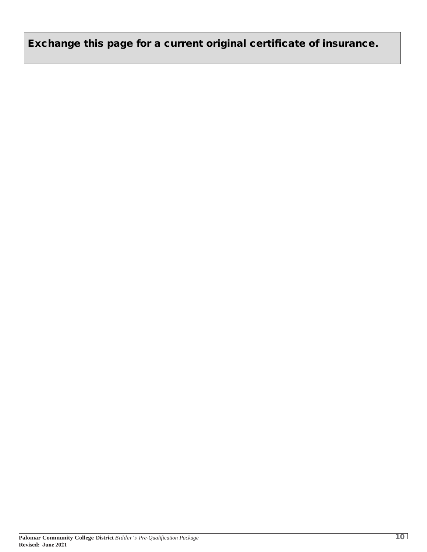Exchange this page for a current original certificate of insurance.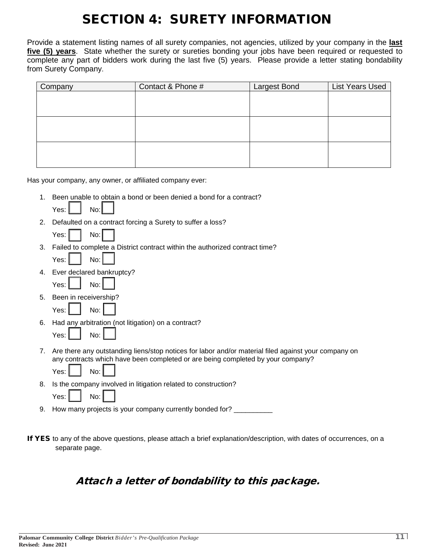# SECTION 4: SURETY INFORMATION

Provide a statement listing names of all surety companies, not agencies, utilized by your company in the **last five (5) years**. State whether the surety or sureties bonding your jobs have been required or requested to complete any part of bidders work during the last five (5) years. Please provide a letter stating bondability from Surety Company.

| Company | Contact & Phone # | <b>Largest Bond</b> | List Years Used |
|---------|-------------------|---------------------|-----------------|
|         |                   |                     |                 |
|         |                   |                     |                 |
|         |                   |                     |                 |
|         |                   |                     |                 |
|         |                   |                     |                 |
|         |                   |                     |                 |
|         |                   |                     |                 |
|         |                   |                     |                 |
|         |                   |                     |                 |

Has your company, any owner, or affiliated company ever:

1. Been unable to obtain a bond or been denied a bond for a contract?

| Yes: | No: l |
|------|-------|
|      |       |

- 2. Defaulted on a contract forcing a Surety to suffer a loss?
	- $Yes: 1 \quad | \quad No: 1$
- 3. Failed to complete a District contract within the authorized contract time?

| ∩c. |  | No· |  |  |
|-----|--|-----|--|--|
|-----|--|-----|--|--|

- 4. Ever declared bankruptcy?
- Yes:  $\parallel$   $\parallel$  No:
- 5. Been in receivership?
	- Yes:  $\parallel$   $\parallel$  No:
- 6. Had any arbitration (not litigation) on a contract?

| ρς· |  | N∩. |  |
|-----|--|-----|--|
|-----|--|-----|--|

7. Are there any outstanding liens/stop notices for labor and/or material filed against your company on any contracts which have been completed or are being completed by your company?

| $YAS$ . | No: |  |
|---------|-----|--|
|         |     |  |

8. Is the company involved in litigation related to construction?  $Yes: \begin{array}{ccc} \vert & \vert & \vert \vert \end{array}$  No:

9. How many projects is your company currently bonded for? \_\_\_\_\_\_\_\_\_\_

If YES to any of the above questions, please attach a brief explanation/description, with dates of occurrences, on a separate page.

### Attach a letter of bondability to this package.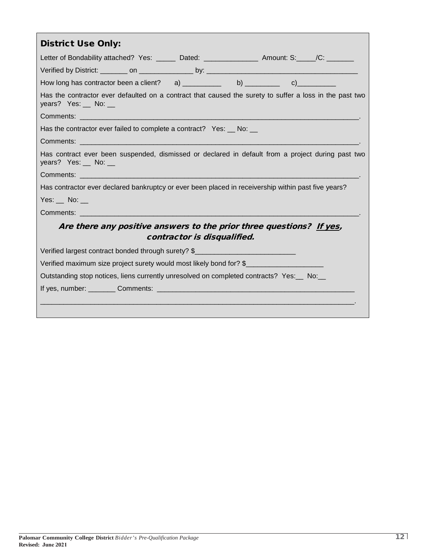| <b>District Use Only:</b>                                                                                                                                                                                                     |  |  |  |  |
|-------------------------------------------------------------------------------------------------------------------------------------------------------------------------------------------------------------------------------|--|--|--|--|
| Letter of Bondability attached? Yes: ______ Dated: _______________ Amount: S: _____/C: ________                                                                                                                               |  |  |  |  |
|                                                                                                                                                                                                                               |  |  |  |  |
|                                                                                                                                                                                                                               |  |  |  |  |
| Has the contractor ever defaulted on a contract that caused the surety to suffer a loss in the past two<br>years? Yes: $\_\_$ No: $\_\_$                                                                                      |  |  |  |  |
|                                                                                                                                                                                                                               |  |  |  |  |
| Has the contractor ever failed to complete a contract? Yes: __ No: __                                                                                                                                                         |  |  |  |  |
| Comments: with the control of the control of the control of the control of the control of the control of the control of the control of the control of the control of the control of the control of the control of the control |  |  |  |  |
| Has contract ever been suspended, dismissed or declared in default from a project during past two<br>years? Yes: $\_\!\_\!\$ No: $\_\!\_\!\$                                                                                  |  |  |  |  |
|                                                                                                                                                                                                                               |  |  |  |  |
| Has contractor ever declared bankruptcy or ever been placed in receivership within past five years?                                                                                                                           |  |  |  |  |
| Yes: No:                                                                                                                                                                                                                      |  |  |  |  |
|                                                                                                                                                                                                                               |  |  |  |  |
| Are there any positive answers to the prior three questions? If yes,<br>contractor is disqualified.                                                                                                                           |  |  |  |  |
| Verified largest contract bonded through surety? \$                                                                                                                                                                           |  |  |  |  |
| Verified maximum size project surety would most likely bond for? \$                                                                                                                                                           |  |  |  |  |
| Outstanding stop notices, liens currently unresolved on completed contracts? Yes: __ No: __                                                                                                                                   |  |  |  |  |
|                                                                                                                                                                                                                               |  |  |  |  |
|                                                                                                                                                                                                                               |  |  |  |  |
|                                                                                                                                                                                                                               |  |  |  |  |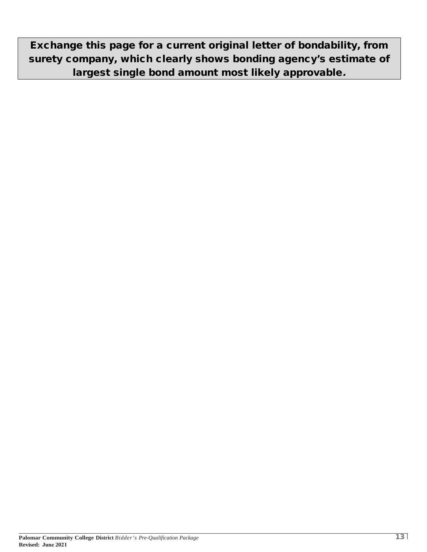Exchange this page for a current original letter of bondability, from surety company, which clearly shows bonding agency's estimate of largest single bond amount most likely approvable.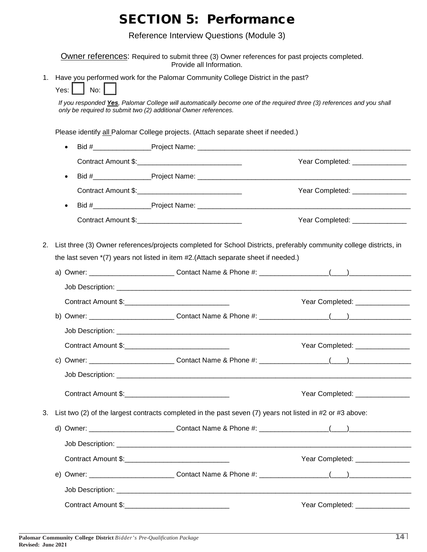## SECTION 5: Performance

Reference Interview Questions (Module 3)

|    | <b>Owner references:</b> Required to submit three (3) Owner references for past projects completed.<br>Provide all Information.                                                                                 |                                  |  |  |
|----|-----------------------------------------------------------------------------------------------------------------------------------------------------------------------------------------------------------------|----------------------------------|--|--|
| 1. | Have you performed work for the Palomar Community College District in the past?                                                                                                                                 |                                  |  |  |
|    | No: $\vert \ \ \vert$<br>Yes: I I                                                                                                                                                                               |                                  |  |  |
|    | If you responded Yes, Palomar College will automatically become one of the required three (3) references and you shall<br>only be required to submit two (2) additional Owner references.                       |                                  |  |  |
|    | Please identify all Palomar College projects. (Attach separate sheet if needed.)                                                                                                                                |                                  |  |  |
|    | $\bullet$                                                                                                                                                                                                       |                                  |  |  |
|    |                                                                                                                                                                                                                 | Year Completed: ________________ |  |  |
|    |                                                                                                                                                                                                                 |                                  |  |  |
|    |                                                                                                                                                                                                                 | Year Completed: _______________  |  |  |
|    |                                                                                                                                                                                                                 |                                  |  |  |
|    |                                                                                                                                                                                                                 | Year Completed: _______________  |  |  |
| 2. | List three (3) Owner references/projects completed for School Districts, preferably community college districts, in<br>the last seven $*(7)$ years not listed in item $#2$ . (Attach separate sheet if needed.) |                                  |  |  |
|    | Contract Amount \$:                                                                                                                                                                                             | Year Completed: _______________  |  |  |
|    |                                                                                                                                                                                                                 |                                  |  |  |
|    |                                                                                                                                                                                                                 |                                  |  |  |
|    |                                                                                                                                                                                                                 | Year Completed: ________________ |  |  |
|    |                                                                                                                                                                                                                 |                                  |  |  |
|    |                                                                                                                                                                                                                 |                                  |  |  |
|    |                                                                                                                                                                                                                 | Year Completed: _______________  |  |  |
| 3. | List two (2) of the largest contracts completed in the past seven (7) years not listed in #2 or #3 above:                                                                                                       |                                  |  |  |
|    |                                                                                                                                                                                                                 |                                  |  |  |
|    |                                                                                                                                                                                                                 |                                  |  |  |
|    |                                                                                                                                                                                                                 | Year Completed: _______________  |  |  |
|    |                                                                                                                                                                                                                 |                                  |  |  |
|    |                                                                                                                                                                                                                 |                                  |  |  |
|    |                                                                                                                                                                                                                 | Year Completed: _______________  |  |  |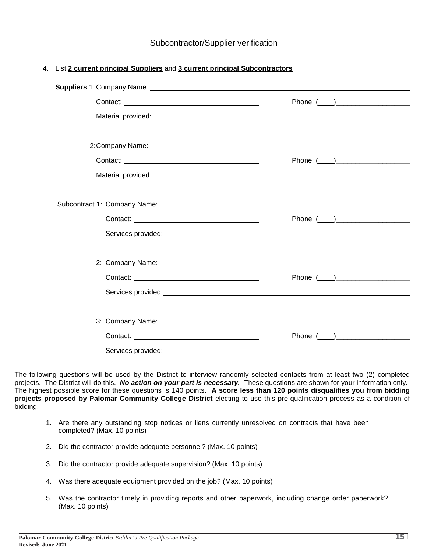#### Subcontractor/Supplier verification

| 4. List 2 current principal Suppliers and 3 current principal Subcontractors |
|------------------------------------------------------------------------------|
|                                                                              |

|                    | Phone: $(\_\_)$                                     |
|--------------------|-----------------------------------------------------|
|                    | Services provided: example and a services provided: |
|                    |                                                     |
|                    |                                                     |
|                    |                                                     |
| Services provided: |                                                     |

The following questions will be used by the District to interview randomly selected contacts from at least two (2) completed projects. The District will do this. *No action on your part is necessary.* These questions are shown for your information only. The highest possible score for these questions is 140 points. **A score less than 120 points disqualifies you from bidding projects proposed by Palomar Community College District** electing to use this pre-qualification process as a condition of bidding.

- 1. Are there any outstanding stop notices or liens currently unresolved on contracts that have been completed? (Max. 10 points)
- 2. Did the contractor provide adequate personnel? (Max. 10 points)
- 3. Did the contractor provide adequate supervision? (Max. 10 points)
- 4. Was there adequate equipment provided on the job? (Max. 10 points)
- 5. Was the contractor timely in providing reports and other paperwork, including change order paperwork? (Max. 10 points)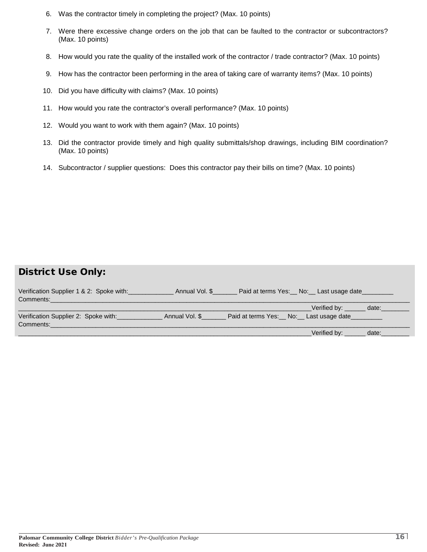- 6. Was the contractor timely in completing the project? (Max. 10 points)
- 7. Were there excessive change orders on the job that can be faulted to the contractor or subcontractors? (Max. 10 points)
- 8. How would you rate the quality of the installed work of the contractor / trade contractor? (Max. 10 points)
- 9. How has the contractor been performing in the area of taking care of warranty items? (Max. 10 points)
- 10. Did you have difficulty with claims? (Max. 10 points)
- 11. How would you rate the contractor's overall performance? (Max. 10 points)
- 12. Would you want to work with them again? (Max. 10 points)
- 13. Did the contractor provide timely and high quality submittals/shop drawings, including BIM coordination? (Max. 10 points)
- 14. Subcontractor / supplier questions: Does this contractor pay their bills on time? (Max. 10 points)

### District Use Only:

| Verification Supplier 1 & 2: Spoke with:<br>Comments: | Annual Vol. \$ | Paid at terms Yes: No: Last usage date                       |       |
|-------------------------------------------------------|----------------|--------------------------------------------------------------|-------|
| Verification Supplier 2: Spoke with:<br>Comments:     | Annual Vol. \$ | Verified by: date:<br>Paid at terms Yes: No: Last usage date |       |
|                                                       |                | Verified by:                                                 | date: |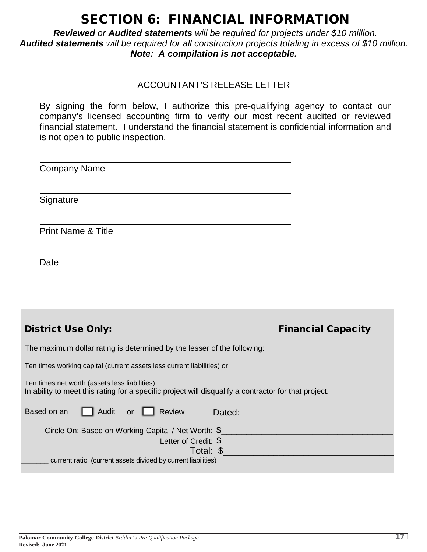## SECTION 6: FINANCIAL INFORMATION

*Reviewed or Audited statements will be required for projects under \$10 million. Audited statements will be required for all construction projects totaling in excess of \$10 million. Note: A compilation is not acceptable.* 

### ACCOUNTANT'S RELEASE LETTER

By signing the form below, I authorize this pre-qualifying agency to contact our company's licensed accounting firm to verify our most recent audited or reviewed financial statement. I understand the financial statement is confidential information and is not open to public inspection.

| <b>Company Name</b>                                                                                                                                   |                                                                                                                                                                                                                                      |
|-------------------------------------------------------------------------------------------------------------------------------------------------------|--------------------------------------------------------------------------------------------------------------------------------------------------------------------------------------------------------------------------------------|
| Signature                                                                                                                                             |                                                                                                                                                                                                                                      |
| <b>Print Name &amp; Title</b>                                                                                                                         |                                                                                                                                                                                                                                      |
| Date                                                                                                                                                  |                                                                                                                                                                                                                                      |
|                                                                                                                                                       |                                                                                                                                                                                                                                      |
| <b>District Use Only:</b>                                                                                                                             | <b>Financial Capacity</b>                                                                                                                                                                                                            |
| The maximum dollar rating is determined by the lesser of the following:                                                                               |                                                                                                                                                                                                                                      |
| Ten times working capital (current assets less current liabilities) or                                                                                |                                                                                                                                                                                                                                      |
| Ten times net worth (assets less liabilities)<br>In ability to meet this rating for a specific project will disqualify a contractor for that project. |                                                                                                                                                                                                                                      |
| Audit<br>Based on an<br>or $\Box$ Review                                                                                                              | Dated: <u>Dated: William School School School School School School School School School School School School School School School School School School School School School School School School School School School School Sch</u> |
| Letter of Credit: \$                                                                                                                                  |                                                                                                                                                                                                                                      |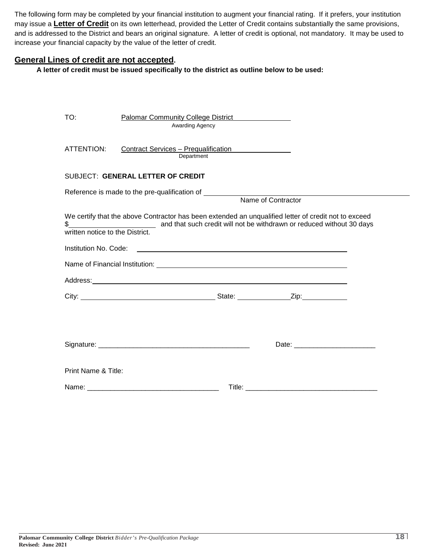The following form may be completed by your financial institution to augment your financial rating. If it prefers, your institution may issue a **Letter of Credit** on its own letterhead, provided the Letter of Credit contains substantially the same provisions, and is addressed to the District and bears an original signature. A letter of credit is optional, not mandatory. It may be used to increase your financial capacity by the value of the letter of credit.

#### **General Lines of credit are not accepted.**

**A letter of credit must be issued specifically to the district as outline below to be used:** 

| TO:                             | <b>Palomar Community College District</b><br>Awarding Agency                                                          |  |
|---------------------------------|-----------------------------------------------------------------------------------------------------------------------|--|
| ATTENTION:                      | Contract Services – Prequalification<br>Department                                                                    |  |
|                                 | SUBJECT: GENERAL LETTER OF CREDIT                                                                                     |  |
|                                 | Name of Contractor                                                                                                    |  |
| written notice to the District. | We certify that the above Contractor has been extended an unqualified letter of credit not to exceed                  |  |
| Institution No. Code:           | <u> 1989 - Johann Harry Harry Harry Harry Harry Harry Harry Harry Harry Harry Harry Harry Harry Harry Harry Harry</u> |  |
|                                 |                                                                                                                       |  |
|                                 |                                                                                                                       |  |
|                                 |                                                                                                                       |  |
|                                 |                                                                                                                       |  |
|                                 |                                                                                                                       |  |
| Print Name & Title:             |                                                                                                                       |  |
|                                 |                                                                                                                       |  |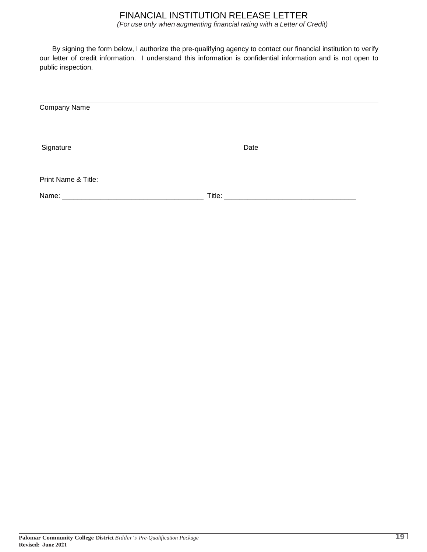### FINANCIAL INSTITUTION RELEASE LETTER

*(For use only when augmenting financial rating with a Letter of Credit)*

By signing the form below, I authorize the pre-qualifying agency to contact our financial institution to verify our letter of credit information. I understand this information is confidential information and is not open to public inspection.

| Company Name        |      |
|---------------------|------|
|                     |      |
| Signature           | Date |
| Print Name & Title: |      |
|                     |      |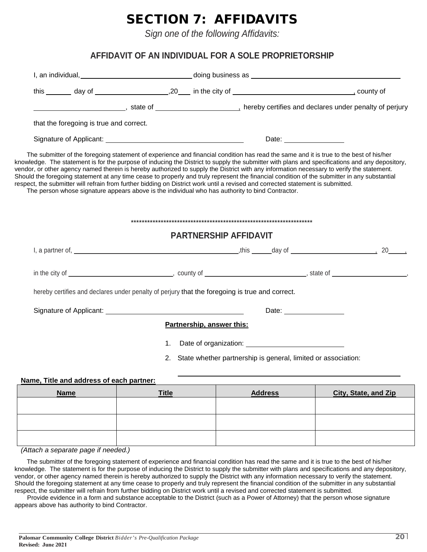# SECTION 7: AFFIDAVITS

*Sign one of the following Affidavits:* 

### **AFFIDAVIT OF AN INDIVIDUAL FOR A SOLE PROPRIETORSHIP**

|                                          |                                                                                                                                                                                                                                     |                           |                              |                                                                                                                                                                                                                                | a hereby certifies and declares under penalty of perjury (state of $\frac{1}{2}$ ) hereby certifies and declares under penalty of perjury                                                                                                                                                                                                                                                                                                   |
|------------------------------------------|-------------------------------------------------------------------------------------------------------------------------------------------------------------------------------------------------------------------------------------|---------------------------|------------------------------|--------------------------------------------------------------------------------------------------------------------------------------------------------------------------------------------------------------------------------|---------------------------------------------------------------------------------------------------------------------------------------------------------------------------------------------------------------------------------------------------------------------------------------------------------------------------------------------------------------------------------------------------------------------------------------------|
| that the foregoing is true and correct.  |                                                                                                                                                                                                                                     |                           |                              |                                                                                                                                                                                                                                |                                                                                                                                                                                                                                                                                                                                                                                                                                             |
|                                          |                                                                                                                                                                                                                                     |                           |                              | Date: <u>____________________</u>                                                                                                                                                                                              |                                                                                                                                                                                                                                                                                                                                                                                                                                             |
|                                          | respect, the submitter will refrain from further bidding on District work until a revised and corrected statement is submitted.<br>The person whose signature appears above is the individual who has authority to bind Contractor. |                           |                              |                                                                                                                                                                                                                                | knowledge. The statement is for the purpose of inducing the District to supply the submitter with plans and specifications and any depository,<br>vendor, or other agency named therein is hereby authorized to supply the District with any information necessary to verify the statement.<br>Should the foregoing statement at any time cease to properly and truly represent the financial condition of the submitter in any substantial |
|                                          |                                                                                                                                                                                                                                     |                           |                              |                                                                                                                                                                                                                                |                                                                                                                                                                                                                                                                                                                                                                                                                                             |
|                                          |                                                                                                                                                                                                                                     |                           | <b>PARTNERSHIP AFFIDAVIT</b> |                                                                                                                                                                                                                                |                                                                                                                                                                                                                                                                                                                                                                                                                                             |
|                                          |                                                                                                                                                                                                                                     |                           |                              |                                                                                                                                                                                                                                |                                                                                                                                                                                                                                                                                                                                                                                                                                             |
|                                          |                                                                                                                                                                                                                                     |                           |                              |                                                                                                                                                                                                                                |                                                                                                                                                                                                                                                                                                                                                                                                                                             |
|                                          | hereby certifies and declares under penalty of perjury that the foregoing is true and correct.                                                                                                                                      |                           |                              |                                                                                                                                                                                                                                |                                                                                                                                                                                                                                                                                                                                                                                                                                             |
|                                          | Signature of Applicant: Signature of Applicant:                                                                                                                                                                                     |                           |                              | Date: the contract of the contract of the contract of the contract of the contract of the contract of the contract of the contract of the contract of the contract of the contract of the contract of the contract of the cont |                                                                                                                                                                                                                                                                                                                                                                                                                                             |
|                                          |                                                                                                                                                                                                                                     | Partnership, answer this: |                              |                                                                                                                                                                                                                                |                                                                                                                                                                                                                                                                                                                                                                                                                                             |
|                                          | 1.                                                                                                                                                                                                                                  |                           |                              |                                                                                                                                                                                                                                |                                                                                                                                                                                                                                                                                                                                                                                                                                             |
|                                          | 2.                                                                                                                                                                                                                                  |                           |                              | State whether partnership is general, limited or association:                                                                                                                                                                  |                                                                                                                                                                                                                                                                                                                                                                                                                                             |
| Name, Title and address of each partner: |                                                                                                                                                                                                                                     |                           |                              |                                                                                                                                                                                                                                |                                                                                                                                                                                                                                                                                                                                                                                                                                             |
| <b>Name</b>                              | <b>Title</b>                                                                                                                                                                                                                        |                           |                              | <b>Address</b>                                                                                                                                                                                                                 | City, State, and Zip                                                                                                                                                                                                                                                                                                                                                                                                                        |
|                                          |                                                                                                                                                                                                                                     |                           |                              |                                                                                                                                                                                                                                |                                                                                                                                                                                                                                                                                                                                                                                                                                             |

*(Attach a separate page if needed.)*

The submitter of the foregoing statement of experience and financial condition has read the same and it is true to the best of his/her knowledge. The statement is for the purpose of inducing the District to supply the submitter with plans and specifications and any depository, vendor, or other agency named therein is hereby authorized to supply the District with any information necessary to verify the statement. Should the foregoing statement at any time cease to properly and truly represent the financial condition of the submitter in any substantial respect, the submitter will refrain from further bidding on District work until a revised and corrected statement is submitted.

Provide evidence in a form and substance acceptable to the District (such as a Power of Attorney) that the person whose signature appears above has authority to bind Contractor.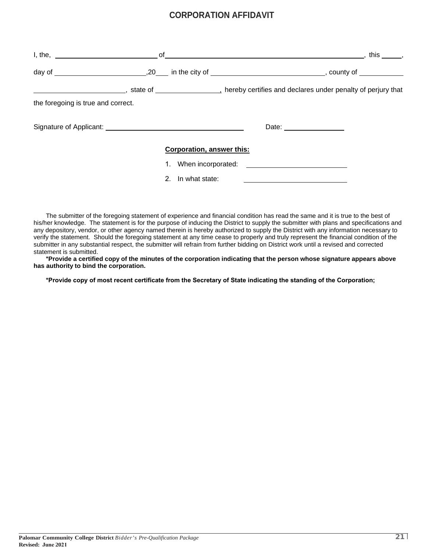### **CORPORATION AFFIDAVIT**

| $l,$ the, $\qquad \qquad$ of                    |                           |                          | this . |
|-------------------------------------------------|---------------------------|--------------------------|--------|
|                                                 |                           |                          |        |
|                                                 |                           |                          |        |
| the foregoing is true and correct.              |                           |                          |        |
| Signature of Applicant: Signature of Applicant: |                           | Date: __________________ |        |
|                                                 | Corporation, answer this: |                          |        |
|                                                 |                           |                          |        |
|                                                 | 2. In what state:         |                          |        |

The submitter of the foregoing statement of experience and financial condition has read the same and it is true to the best of his/her knowledge. The statement is for the purpose of inducing the District to supply the submitter with plans and specifications and any depository, vendor, or other agency named therein is hereby authorized to supply the District with any information necessary to verify the statement. Should the foregoing statement at any time cease to properly and truly represent the financial condition of the submitter in any substantial respect, the submitter will refrain from further bidding on District work until a revised and corrected statement is submitted.

**\*Provide a certified copy of the minutes of the corporation indicating that the person whose signature appears above has authority to bind the corporation.** 

**\*Provide copy of most recent certificate from the Secretary of State indicating the standing of the Corporation;**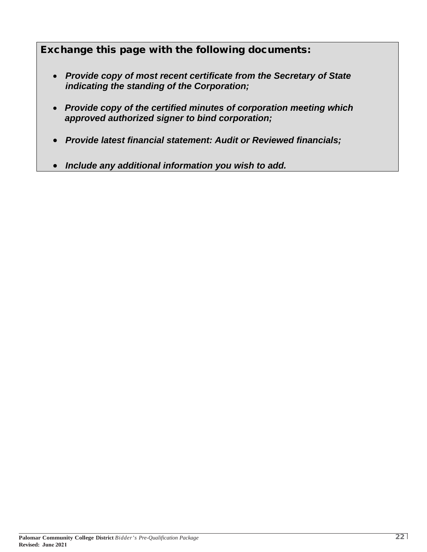Exchange this page with the following documents:

- *Provide copy of most recent certificate from the Secretary of State indicating the standing of the Corporation;*
- *Provide copy of the certified minutes of corporation meeting which approved authorized signer to bind corporation;*
- *Provide latest financial statement: Audit or Reviewed financials;*
- *Include any additional information you wish to add.*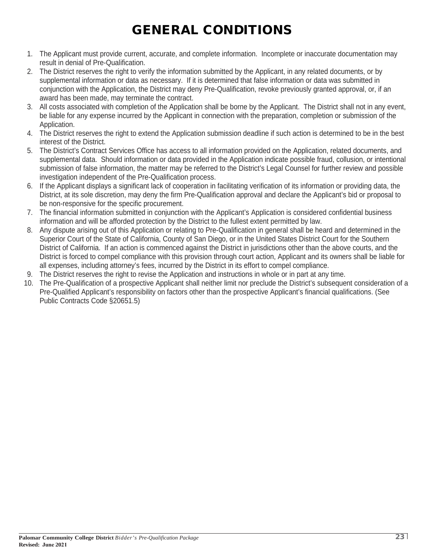# GENERAL CONDITIONS

- 1. The Applicant must provide current, accurate, and complete information. Incomplete or inaccurate documentation may result in denial of Pre-Qualification.
- 2. The District reserves the right to verify the information submitted by the Applicant, in any related documents, or by supplemental information or data as necessary. If it is determined that false information or data was submitted in conjunction with the Application, the District may deny Pre-Qualification, revoke previously granted approval, or, if an award has been made, may terminate the contract.
- 3. All costs associated with completion of the Application shall be borne by the Applicant. The District shall not in any event, be liable for any expense incurred by the Applicant in connection with the preparation, completion or submission of the Application.
- 4. The District reserves the right to extend the Application submission deadline if such action is determined to be in the best interest of the District.
- 5. The District's Contract Services Office has access to all information provided on the Application, related documents, and supplemental data. Should information or data provided in the Application indicate possible fraud, collusion, or intentional submission of false information, the matter may be referred to the District's Legal Counsel for further review and possible investigation independent of the Pre-Qualification process.
- 6. If the Applicant displays a significant lack of cooperation in facilitating verification of its information or providing data, the District, at its sole discretion, may deny the firm Pre-Qualification approval and declare the Applicant's bid or proposal to be non-responsive for the specific procurement.
- 7. The financial information submitted in conjunction with the Applicant's Application is considered confidential business information and will be afforded protection by the District to the fullest extent permitted by law.
- 8. Any dispute arising out of this Application or relating to Pre-Qualification in general shall be heard and determined in the Superior Court of the State of California, County of San Diego, or in the United States District Court for the Southern District of California. If an action is commenced against the District in jurisdictions other than the above courts, and the District is forced to compel compliance with this provision through court action, Applicant and its owners shall be liable for all expenses, including attorney's fees, incurred by the District in its effort to compel compliance.
- 9. The District reserves the right to revise the Application and instructions in whole or in part at any time.
- 10. The Pre-Qualification of a prospective Applicant shall neither limit nor preclude the District's subsequent consideration of a Pre-Qualified Applicant's responsibility on factors other than the prospective Applicant's financial qualifications. (See Public Contracts Code §20651.5)